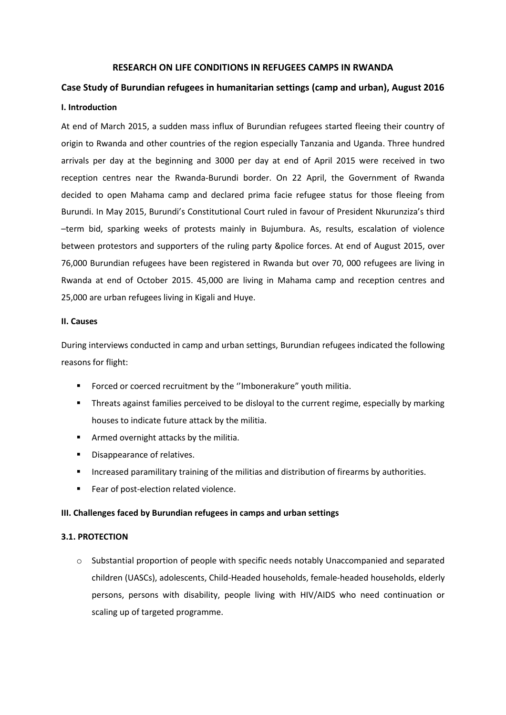#### **RESEARCH ON LIFE CONDITIONS IN REFUGEES CAMPS IN RWANDA**

# **Case Study of Burundian refugees in humanitarian settings (camp and urban), August 2016 I. Introduction**

At end of March 2015, a sudden mass influx of Burundian refugees started fleeing their country of origin to Rwanda and other countries of the region especially Tanzania and Uganda. Three hundred arrivals per day at the beginning and 3000 per day at end of April 2015 were received in two reception centres near the Rwanda-Burundi border. On 22 April, the Government of Rwanda decided to open Mahama camp and declared prima facie refugee status for those fleeing from Burundi. In May 2015, Burundi's Constitutional Court ruled in favour of President Nkurunziza's third –term bid, sparking weeks of protests mainly in Bujumbura. As, results, escalation of violence between protestors and supporters of the ruling party &police forces. At end of August 2015, over 76,000 Burundian refugees have been registered in Rwanda but over 70, 000 refugees are living in Rwanda at end of October 2015. 45,000 are living in Mahama camp and reception centres and 25,000 are urban refugees living in Kigali and Huye.

#### **II. Causes**

During interviews conducted in camp and urban settings, Burundian refugees indicated the following reasons for flight:

- **Forced or coerced recruitment by the "Imbonerakure" youth militia.**
- Threats against families perceived to be disloyal to the current regime, especially by marking houses to indicate future attack by the militia.
- **F** Armed overnight attacks by the militia.
- **•** Disappearance of relatives.
- **Increased paramilitary training of the militias and distribution of firearms by authorities.**
- Fear of post-election related violence.

#### **III. Challenges faced by Burundian refugees in camps and urban settings**

#### **3.1. PROTECTION**

 $\circ$  Substantial proportion of people with specific needs notably Unaccompanied and separated children (UASCs), adolescents, Child-Headed households, female-headed households, elderly persons, persons with disability, people living with HIV/AIDS who need continuation or scaling up of targeted programme.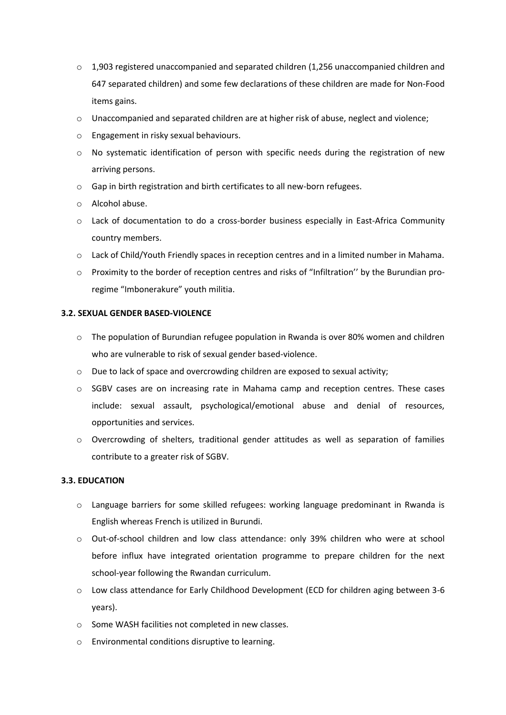- $\circ$  1,903 registered unaccompanied and separated children (1,256 unaccompanied children and 647 separated children) and some few declarations of these children are made for Non-Food items gains.
- $\circ$  Unaccompanied and separated children are at higher risk of abuse, neglect and violence;
- o Engagement in risky sexual behaviours.
- $\circ$  No systematic identification of person with specific needs during the registration of new arriving persons.
- o Gap in birth registration and birth certificates to all new-born refugees.
- o Alcohol abuse.
- o Lack of documentation to do a cross-border business especially in East-Africa Community country members.
- o Lack of Child/Youth Friendly spaces in reception centres and in a limited number in Mahama.
- o Proximity to the border of reception centres and risks of "Infiltration'' by the Burundian proregime "Imbonerakure" youth militia.

# **3.2. SEXUAL GENDER BASED-VIOLENCE**

- o The population of Burundian refugee population in Rwanda is over 80% women and children who are vulnerable to risk of sexual gender based-violence.
- $\circ$  Due to lack of space and overcrowding children are exposed to sexual activity;
- $\circ$  SGBV cases are on increasing rate in Mahama camp and reception centres. These cases include: sexual assault, psychological/emotional abuse and denial of resources, opportunities and services.
- o Overcrowding of shelters, traditional gender attitudes as well as separation of families contribute to a greater risk of SGBV.

## **3.3. EDUCATION**

- o Language barriers for some skilled refugees: working language predominant in Rwanda is English whereas French is utilized in Burundi.
- o Out-of-school children and low class attendance: only 39% children who were at school before influx have integrated orientation programme to prepare children for the next school-year following the Rwandan curriculum.
- o Low class attendance for Early Childhood Development (ECD for children aging between 3-6 years).
- o Some WASH facilities not completed in new classes.
- o Environmental conditions disruptive to learning.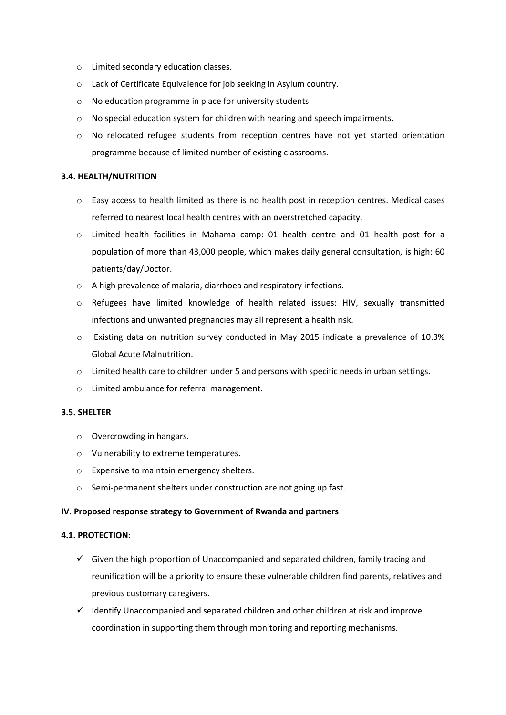- o Limited secondary education classes.
- o Lack of Certificate Equivalence for job seeking in Asylum country.
- o No education programme in place for university students.
- $\circ$  No special education system for children with hearing and speech impairments.
- o No relocated refugee students from reception centres have not yet started orientation programme because of limited number of existing classrooms.

## **3.4. HEALTH/NUTRITION**

- $\circ$  Easy access to health limited as there is no health post in reception centres. Medical cases referred to nearest local health centres with an overstretched capacity.
- o Limited health facilities in Mahama camp: 01 health centre and 01 health post for a population of more than 43,000 people, which makes daily general consultation, is high: 60 patients/day/Doctor.
- o A high prevalence of malaria, diarrhoea and respiratory infections.
- o Refugees have limited knowledge of health related issues: HIV, sexually transmitted infections and unwanted pregnancies may all represent a health risk.
- o Existing data on nutrition survey conducted in May 2015 indicate a prevalence of 10.3% Global Acute Malnutrition.
- $\circ$  Limited health care to children under 5 and persons with specific needs in urban settings.
- o Limited ambulance for referral management.

## **3.5. SHELTER**

- o Overcrowding in hangars.
- o Vulnerability to extreme temperatures.
- o Expensive to maintain emergency shelters.
- o Semi-permanent shelters under construction are not going up fast.

## **IV. Proposed response strategy to Government of Rwanda and partners**

## **4.1. PROTECTION:**

- $\checkmark$  Given the high proportion of Unaccompanied and separated children, family tracing and reunification will be a priority to ensure these vulnerable children find parents, relatives and previous customary caregivers.
- $\checkmark$  Identify Unaccompanied and separated children and other children at risk and improve coordination in supporting them through monitoring and reporting mechanisms.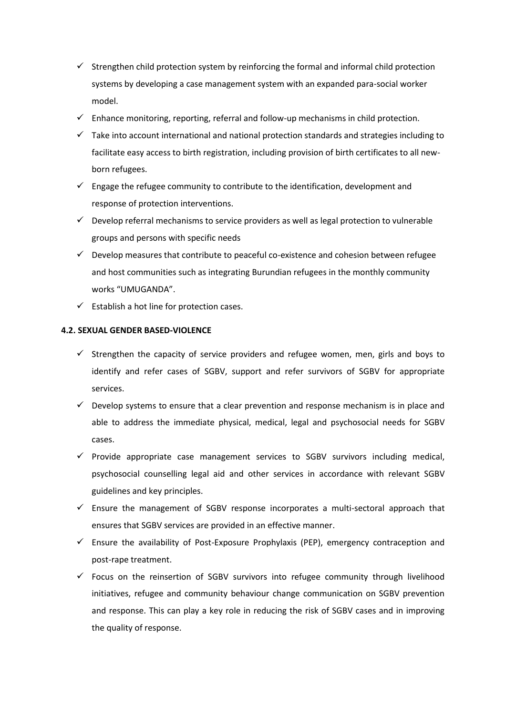- $\checkmark$  Strengthen child protection system by reinforcing the formal and informal child protection systems by developing a case management system with an expanded para-social worker model.
- $\checkmark$  Enhance monitoring, reporting, referral and follow-up mechanisms in child protection.
- $\checkmark$  Take into account international and national protection standards and strategies including to facilitate easy access to birth registration, including provision of birth certificates to all newborn refugees.
- $\checkmark$  Engage the refugee community to contribute to the identification, development and response of protection interventions.
- $\checkmark$  Develop referral mechanisms to service providers as well as legal protection to vulnerable groups and persons with specific needs
- $\checkmark$  Develop measures that contribute to peaceful co-existence and cohesion between refugee and host communities such as integrating Burundian refugees in the monthly community works "UMUGANDA".
- $\checkmark$  Establish a hot line for protection cases.

# **4.2. SEXUAL GENDER BASED-VIOLENCE**

- $\checkmark$  Strengthen the capacity of service providers and refugee women, men, girls and boys to identify and refer cases of SGBV, support and refer survivors of SGBV for appropriate services.
- $\checkmark$  Develop systems to ensure that a clear prevention and response mechanism is in place and able to address the immediate physical, medical, legal and psychosocial needs for SGBV cases.
- $\checkmark$  Provide appropriate case management services to SGBV survivors including medical, psychosocial counselling legal aid and other services in accordance with relevant SGBV guidelines and key principles.
- $\checkmark$  Ensure the management of SGBV response incorporates a multi-sectoral approach that ensures that SGBV services are provided in an effective manner.
- $\checkmark$  Ensure the availability of Post-Exposure Prophylaxis (PEP), emergency contraception and post-rape treatment.
- $\checkmark$  Focus on the reinsertion of SGBV survivors into refugee community through livelihood initiatives, refugee and community behaviour change communication on SGBV prevention and response. This can play a key role in reducing the risk of SGBV cases and in improving the quality of response.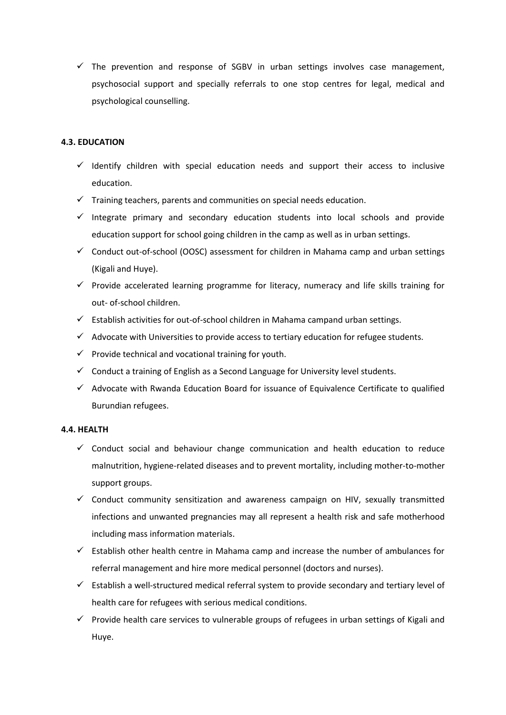$\checkmark$  The prevention and response of SGBV in urban settings involves case management, psychosocial support and specially referrals to one stop centres for legal, medical and psychological counselling.

# **4.3. EDUCATION**

- $\checkmark$  Identify children with special education needs and support their access to inclusive education.
- $\checkmark$  Training teachers, parents and communities on special needs education.
- $\checkmark$  Integrate primary and secondary education students into local schools and provide education support for school going children in the camp as well as in urban settings.
- $\checkmark$  Conduct out-of-school (OOSC) assessment for children in Mahama camp and urban settings (Kigali and Huye).
- $\checkmark$  Provide accelerated learning programme for literacy, numeracy and life skills training for out- of-school children.
- $\checkmark$  Establish activities for out-of-school children in Mahama campand urban settings.
- $\checkmark$  Advocate with Universities to provide access to tertiary education for refugee students.
- $\checkmark$  Provide technical and vocational training for youth.
- $\checkmark$  Conduct a training of English as a Second Language for University level students.
- $\checkmark$  Advocate with Rwanda Education Board for issuance of Equivalence Certificate to qualified Burundian refugees.

## **4.4. HEALTH**

- $\checkmark$  Conduct social and behaviour change communication and health education to reduce malnutrition, hygiene-related diseases and to prevent mortality, including mother-to-mother support groups.
- $\checkmark$  Conduct community sensitization and awareness campaign on HIV, sexually transmitted infections and unwanted pregnancies may all represent a health risk and safe motherhood including mass information materials.
- $\checkmark$  Establish other health centre in Mahama camp and increase the number of ambulances for referral management and hire more medical personnel (doctors and nurses).
- $\checkmark$  Establish a well-structured medical referral system to provide secondary and tertiary level of health care for refugees with serious medical conditions.
- $\checkmark$  Provide health care services to vulnerable groups of refugees in urban settings of Kigali and Huye.